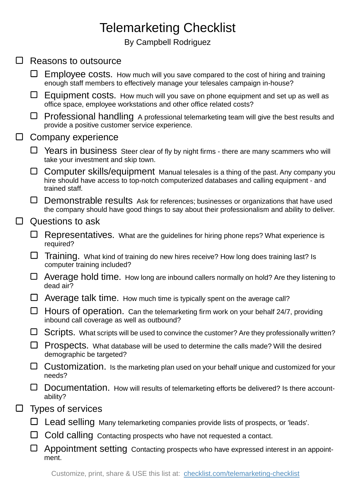## Telemarketing Checklist

By Campbell Rodriguez

|  | Reasons to outsource     |                                                                                                                                                                                                 |
|--|--------------------------|-------------------------------------------------------------------------------------------------------------------------------------------------------------------------------------------------|
|  |                          | Employee costs. How much will you save compared to the cost of hiring and training<br>enough staff members to effectively manage your telesales campaign in-house?                              |
|  | ⊔                        | Equipment costs. How much will you save on phone equipment and set up as well as<br>office space, employee workstations and other office related costs?                                         |
|  |                          | □ Professional handling A professional telemarketing team will give the best results and<br>provide a positive customer service experience.                                                     |
|  | Company experience       |                                                                                                                                                                                                 |
|  | ⊔                        | Years in business Steer clear of fly by night firms - there are many scammers who will<br>take your investment and skip town.                                                                   |
|  | ⊔                        | Computer skills/equipment Manual telesales is a thing of the past. Any company you<br>hire should have access to top-notch computerized databases and calling equipment - and<br>trained staff. |
|  |                          | $\Box$ Demonstrable results Ask for references; businesses or organizations that have used<br>the company should have good things to say about their professionalism and ability to deliver.    |
|  | Questions to ask         |                                                                                                                                                                                                 |
|  | ⊔                        | Representatives. What are the guidelines for hiring phone reps? What experience is<br>required?                                                                                                 |
|  | ⊔                        | Training. What kind of training do new hires receive? How long does training last? Is<br>computer training included?                                                                            |
|  | ⊔                        | Average hold time. How long are inbound callers normally on hold? Are they listening to<br>dead air?                                                                                            |
|  | ப                        | Average talk time. How much time is typically spent on the average call?                                                                                                                        |
|  |                          | Hours of operation. Can the telemarketing firm work on your behalf 24/7, providing<br>inbound call coverage as well as outbound?                                                                |
|  | ⊔                        | Scripts. What scripts will be used to convince the customer? Are they professionally written?                                                                                                   |
|  |                          | Prospects. What database will be used to determine the calls made? Will the desired<br>demographic be targeted?                                                                                 |
|  |                          | Customization. Is the marketing plan used on your behalf unique and customized for your<br>needs?                                                                                               |
|  |                          | Documentation. How will results of telemarketing efforts be delivered? Is there account-<br>ability?                                                                                            |
|  | <b>Types of services</b> |                                                                                                                                                                                                 |
|  |                          | Lead selling Many telemarketing companies provide lists of prospects, or 'leads'.                                                                                                               |
|  | ப                        | Cold calling Contacting prospects who have not requested a contact.                                                                                                                             |
|  |                          | Appointment setting Contacting prospects who have expressed interest in an appoint-<br>ment.                                                                                                    |